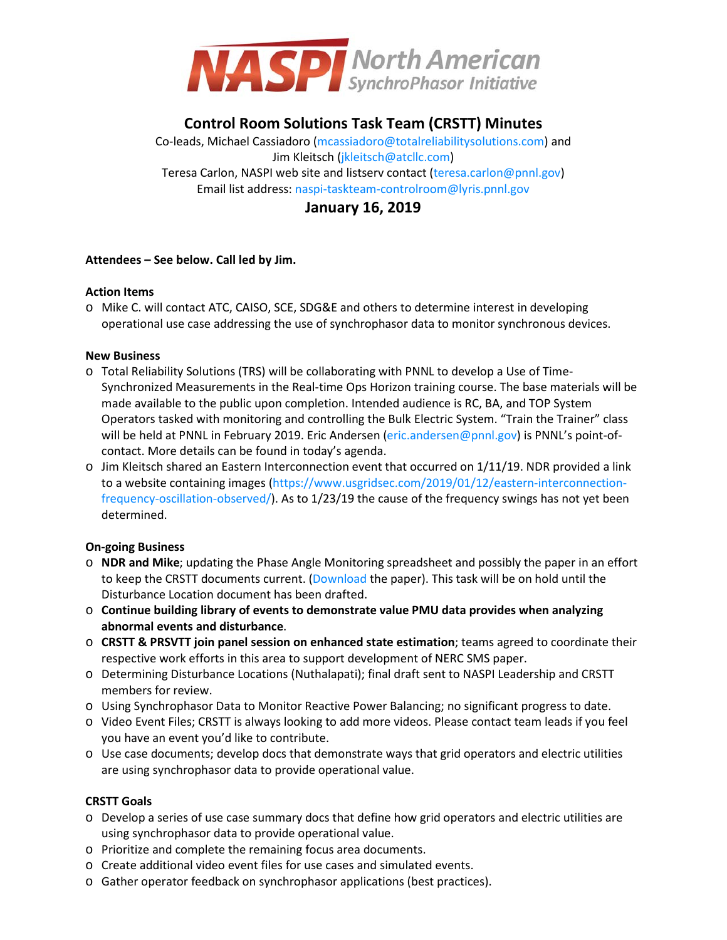

# **Control Room Solutions Task Team (CRSTT) Minutes**

Co-leads, Michael Cassiadoro [\(mcassiadoro@totalreliabilitysolutions.com\)](mailto:mcassiadoro@totalreliabilitysolutions.com) and Jim Kleitsch [\(jkleitsch@atcllc.com\)](mailto:jkleitsch@atcllc.com) Teresa Carlon, NASPI web site and listserv contact [\(teresa.carlon@pnnl.gov\)](mailto:teresa.carlon@pnnl.gov) Email list address[: naspi-taskteam-controlroom@lyris.pnnl.gov](mailto:naspi-taskteam-controlroom@lyris.pnnl.gov)

## **January 16, 2019**

## **Attendees – See below. Call led by Jim.**

## **Action Items**

o Mike C. will contact ATC, CAISO, SCE, SDG&E and others to determine interest in developing operational use case addressing the use of synchrophasor data to monitor synchronous devices.

## **New Business**

- o Total Reliability Solutions (TRS) will be collaborating with PNNL to develop a Use of Time-Synchronized Measurements in the Real-time Ops Horizon training course. The base materials will be made available to the public upon completion. Intended audience is RC, BA, and TOP System Operators tasked with monitoring and controlling the Bulk Electric System. "Train the Trainer" class will be held at PNNL in February 2019. Eric Andersen [\(eric.andersen@pnnl.gov\)](mailto:eric.andersen@pnnl.gov) is PNNL's point-ofcontact. More details can be found in today's agenda.
- $\circ$  Jim Kleitsch shared an Eastern Interconnection event that occurred on 1/11/19. NDR provided a link to a website containing images [\(https://www.usgridsec.com/2019/01/12/eastern-interconnection](https://www.usgridsec.com/2019/01/12/eastern-interconnection-frequency-oscillation-observed/)[frequency-oscillation-observed/\)](https://www.usgridsec.com/2019/01/12/eastern-interconnection-frequency-oscillation-observed/). As to 1/23/19 the cause of the frequency swings has not yet been determined.

## **On-going Business**

- o **NDR and Mike**; updating the Phase Angle Monitoring spreadsheet and possibly the paper in an effort to keep the CRSTT documents current. [\(Download t](https://www.naspi.org/File.aspx?fileID=1567)he paper). This task will be on hold until the Disturbance Location document has been drafted.
- o **Continue building library of events to demonstrate value PMU data provides when analyzing abnormal events and disturbance**.
- o **CRSTT & PRSVTT join panel session on enhanced state estimation**; teams agreed to coordinate their respective work efforts in this area to support development of NERC SMS paper.
- o Determining Disturbance Locations (Nuthalapati); final draft sent to NASPI Leadership and CRSTT members for review.
- o Using Synchrophasor Data to Monitor Reactive Power Balancing; no significant progress to date.
- o Video Event Files; CRSTT is always looking to add more videos. Please contact team leads if you feel you have an event you'd like to contribute.
- o Use case documents; develop docs that demonstrate ways that grid operators and electric utilities are using synchrophasor data to provide operational value.

## **CRSTT Goals**

- o Develop a series of use case summary docs that define how grid operators and electric utilities are using synchrophasor data to provide operational value.
- o Prioritize and complete the remaining focus area documents.
- o Create additional video event files for use cases and simulated events.
- o Gather operator feedback on synchrophasor applications (best practices).